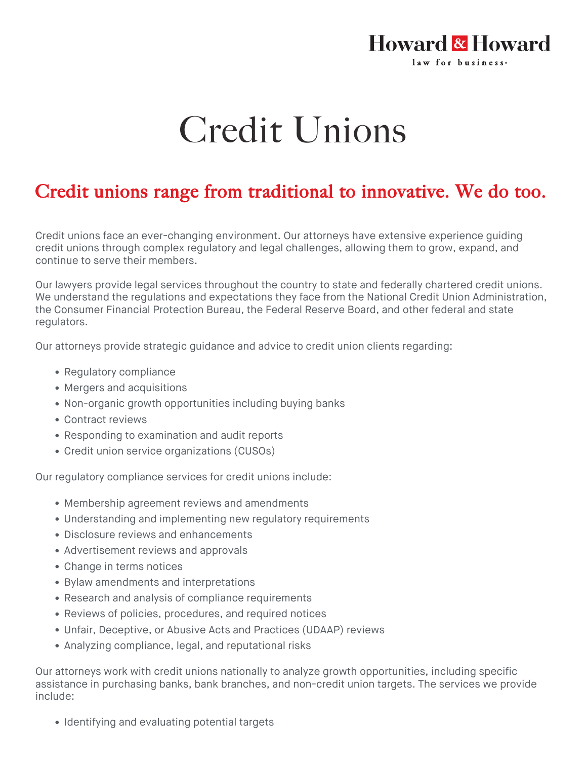## Howard & Howard law for business-

## Credit Unions

## Credit unions range from traditional to innovative. We do too.

Credit unions face an ever-changing environment. Our attorneys have extensive experience guiding credit unions through complex regulatory and legal challenges, allowing them to grow, expand, and continue to serve their members.

Our lawyers provide legal services throughout the country to state and federally chartered credit unions. We understand the regulations and expectations they face from the National Credit Union Administration, the Consumer Financial Protection Bureau, the Federal Reserve Board, and other federal and state regulators.

Our attorneys provide strategic guidance and advice to credit union clients regarding:

- Regulatory compliance
- Mergers and acquisitions
- Non-organic growth opportunities including buying banks
- Contract reviews
- Responding to examination and audit reports
- Credit union service organizations (CUSOs)

Our regulatory compliance services for credit unions include:

- Membership agreement reviews and amendments
- Understanding and implementing new regulatory requirements
- Disclosure reviews and enhancements
- Advertisement reviews and approvals
- Change in terms notices
- Bylaw amendments and interpretations
- Research and analysis of compliance requirements
- Reviews of policies, procedures, and required notices
- Unfair, Deceptive, or Abusive Acts and Practices (UDAAP) reviews
- Analyzing compliance, legal, and reputational risks

Our attorneys work with credit unions nationally to analyze growth opportunities, including specific assistance in purchasing banks, bank branches, and non-credit union targets. The services we provide include:

• Identifying and evaluating potential targets